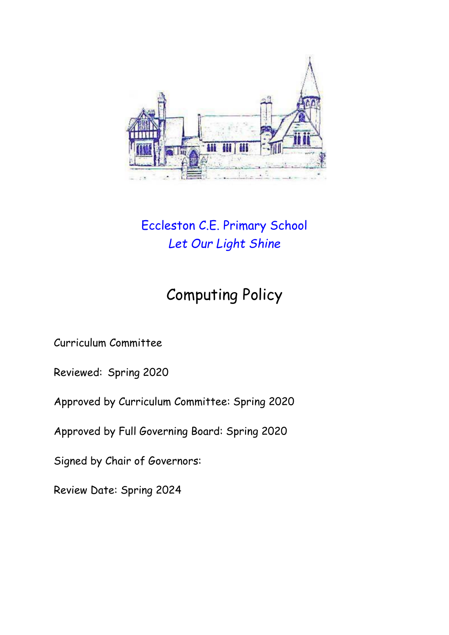

## Eccleston C.E. Primary School *Let Our Light Shine*

# Computing Policy

Curriculum Committee

Reviewed: Spring 2020

Approved by Curriculum Committee: Spring 2020

Approved by Full Governing Board: Spring 2020

Signed by Chair of Governors:

Review Date: Spring 2024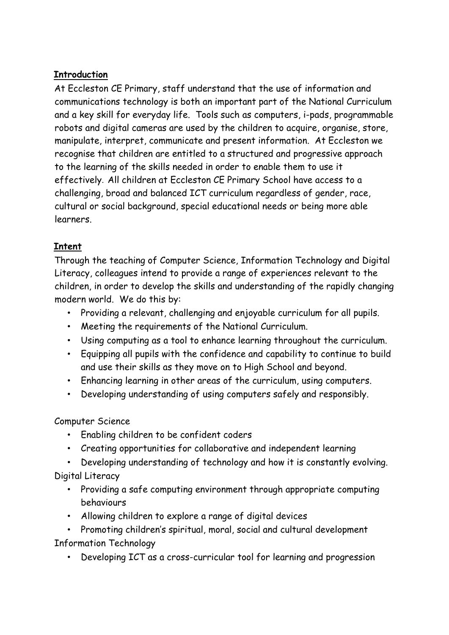#### **Introduction**

At Eccleston CE Primary, staff understand that the use of information and communications technology is both an important part of the National Curriculum and a key skill for everyday life. Tools such as computers, i-pads, programmable robots and digital cameras are used by the children to acquire, organise, store, manipulate, interpret, communicate and present information. At Eccleston we recognise that children are entitled to a structured and progressive approach to the learning of the skills needed in order to enable them to use it effectively. All children at Eccleston CE Primary School have access to a challenging, broad and balanced ICT curriculum regardless of gender, race, cultural or social background, special educational needs or being more able learners.

#### **Intent**

Through the teaching of Computer Science, Information Technology and Digital Literacy, colleagues intend to provide a range of experiences relevant to the children, in order to develop the skills and understanding of the rapidly changing modern world. We do this by:

- Providing a relevant, challenging and enjoyable curriculum for all pupils.
- Meeting the requirements of the National Curriculum.
- Using computing as a tool to enhance learning throughout the curriculum.
- Equipping all pupils with the confidence and capability to continue to build and use their skills as they move on to High School and beyond.
- Enhancing learning in other areas of the curriculum, using computers.
- Developing understanding of using computers safely and responsibly.

### Computer Science

- Enabling children to be confident coders
- Creating opportunities for collaborative and independent learning
- Developing understanding of technology and how it is constantly evolving.

Digital Literacy

- Providing a safe computing environment through appropriate computing behaviours
- Allowing children to explore a range of digital devices
- Promoting children's spiritual, moral, social and cultural development Information Technology
	- Developing ICT as a cross-curricular tool for learning and progression